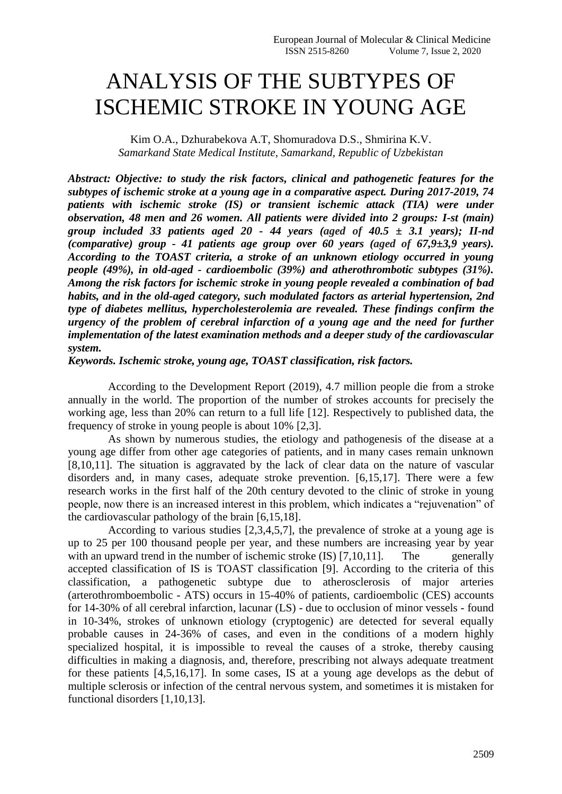## ANALYSIS OF THE SUBTYPES OF ISCHEMIC STROKE IN YOUNG AGE

Kim O.A., Dzhurabekova A.T, Shomuradova D.S., Shmirina K.V. *Samarkand State Medical Institute, Samarkand, Republic of Uzbekistan*

*Abstract: Objective: to study the risk factors, clinical and pathogenetic features for the subtypes of ischemic stroke at a young age in a comparative aspect. During 2017-2019, 74 patients with ischemic stroke (IS) or transient ischemic attack (TIA) were under observation, 48 men and 26 women. All patients were divided into 2 groups: I-st (main) group included 33 patients aged 20 - 44 years (aged of 40.5 ± 3.1 years); II-nd (comparative) group - 41 patients age group over 60 years (aged of 67,9±3,9 years). According to the TOAST criteria, a stroke of an unknown etiology occurred in young people (49%), in old-aged - cardioembolic (39%) and atherothrombotic subtypes (31%). Among the risk factors for ischemic stroke in young people revealed a combination of bad habits, and in the old-aged category, such modulated factors as arterial hypertension, 2nd type of diabetes mellitus, hypercholesterolemia are revealed. These findings confirm the urgency of the problem of cerebral infarction of a young age and the need for further implementation of the latest examination methods and a deeper study of the cardiovascular system.*

*Keywords. Ischemic stroke, young age, TOAST classification, risk factors.*

According to the Development Report (2019), 4.7 million people die from a stroke annually in the world. The proportion of the number of strokes accounts for precisely the working age, less than 20% can return to a full life [12]. Respectively to published data, the frequency of stroke in young people is about 10% [2,3].

As shown by numerous studies, the etiology and pathogenesis of the disease at a young age differ from other age categories of patients, and in many cases remain unknown [8,10,11]. The situation is aggravated by the lack of clear data on the nature of vascular disorders and, in many cases, adequate stroke prevention. [6,15,17]. There were a few research works in the first half of the 20th century devoted to the clinic of stroke in young people, now there is an increased interest in this problem, which indicates a "rejuvenation" of the cardiovascular pathology of the brain [6,15,18].

According to various studies [2,3,4,5,7], the prevalence of stroke at a young age is up to 25 per 100 thousand people per year, and these numbers are increasing year by year with an upward trend in the number of ischemic stroke  $(IS)$  [7,10,11]. The generally accepted classification of IS is TOAST classification [9]. According to the criteria of this classification, a pathogenetic subtype due to atherosclerosis of major arteries (arterothromboembolic - ATS) occurs in 15-40% of patients, cardioembolic (CES) accounts for 14-30% of all cerebral infarction, lacunar (LS) - due to occlusion of minor vessels - found in 10-34%, strokes of unknown etiology (cryptogenic) are detected for several equally probable causes in 24-36% of cases, and even in the conditions of a modern highly specialized hospital, it is impossible to reveal the causes of a stroke, thereby causing difficulties in making a diagnosis, and, therefore, prescribing not always adequate treatment for these patients [4,5,16,17]. In some cases, IS at a young age develops as the debut of multiple sclerosis or infection of the central nervous system, and sometimes it is mistaken for functional disorders [1,10,13].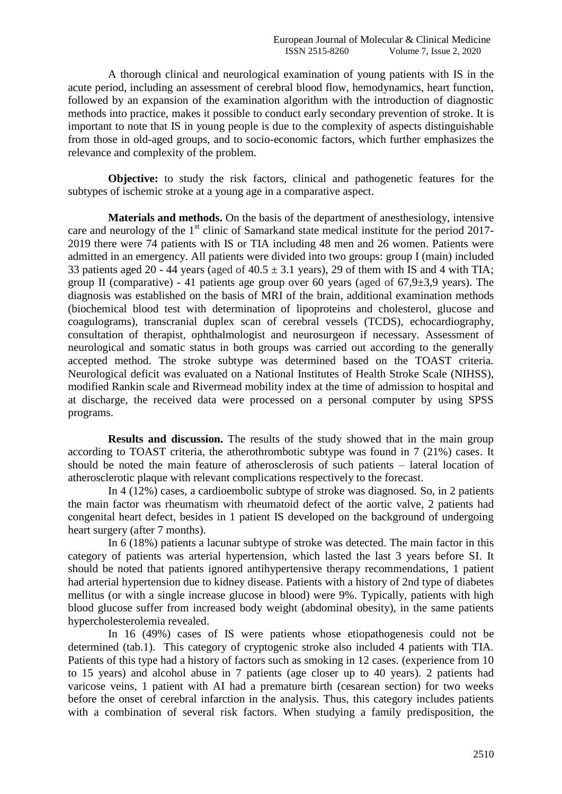A thorough clinical and neurological examination of young patients with IS in the acute period, including an assessment of cerebral blood flow, hemodynamics, heart function, followed by an expansion of the examination algorithm with the introduction of diagnostic methods into practice, makes it possible to conduct early secondary prevention of stroke. It is important to note that IS in young people is due to the complexity of aspects distinguishable from those in old-aged groups, and to socio-economic factors, which further emphasizes the relevance and complexity of the problem.

**Objective:** to study the risk factors, clinical and pathogenetic features for the subtypes of ischemic stroke at a young age in a comparative aspect.

**Materials and methods.** On the basis of the department of anesthesiology, intensive care and neurology of the  $1<sup>st</sup>$  clinic of Samarkand state medical institute for the period 2017-2019 there were 74 patients with IS or TIA including 48 men and 26 women. Patients were admitted in an emergency. All patients were divided into two groups: group I (main) included 33 patients aged 20 - 44 years (aged of  $40.5 \pm 3.1$  years), 29 of them with IS and 4 with TIA; group II (comparative) - 41 patients age group over 60 years (aged of  $67.9\pm3.9$  years). The diagnosis was established on the basis of MRI of the brain, additional examination methods (biochemical blood test with determination of lipoproteins and cholesterol, glucose and coagulograms), transcranial duplex scan of cerebral vessels (TCDS), echocardiography, consultation of therapist, ophthalmologist and neurosurgeon if necessary. Assessment of neurological and somatic status in both groups was carried out according to the generally accepted method. The stroke subtype was determined based on the TOAST criteria. Neurological deficit was evaluated on a National Institutes of Health Stroke Scale (NIHSS), modified Rankin scale and Rivermead mobility index at the time of admission to hospital and at discharge, the received data were processed on a personal computer by using SPSS programs.

**Results and discussion.** The results of the study showed that in the main group according to TOAST criteria, the atherothrombotic subtype was found in 7 (21%) cases. It should be noted the main feature of atherosclerosis of such patients – lateral location of atherosclerotic plaque with relevant complications respectively to the forecast.

In 4 (12%) cases, a cardioembolic subtype of stroke was diagnosed. So, in 2 patients the main factor was rheumatism with rheumatoid defect of the aortic valve, 2 patients had сongenital heart defect, besides in 1 patient IS developed on the background of undergoing heart surgery (after 7 months).

In 6 (18%) patients a lacunar subtype of stroke was detected. The main factor in this category of patients was arterial hypertension, which lasted the last 3 years before SI. It should be noted that patients ignored antihypertensive therapy recommendations, 1 patient had arterial hypertension due to kidney disease. Patients with a history of 2nd type of diabetes mellitus (or with a single increase glucose in blood) were 9%. Typically, patients with high blood glucose suffer from increased body weight (abdominal obesity), in the same patients hypercholesterolemia revealed.

In 16 (49%) cases of IS were patients whose etiopathogenesis could not be determined (tab.1). This category of cryptogenic stroke also included 4 patients with TIA. Patients of this type had a history of factors such as smoking in 12 cases. (experience from 10 to 15 years) and alcohol abuse in 7 patients (age closer up to 40 years). 2 patients had varicose veins, 1 patient with AI had a premature birth (cesarean section) for two weeks before the onset of cerebral infarction in the analysis. Thus, this category includes patients with a combination of several risk factors. When studying a family predisposition, the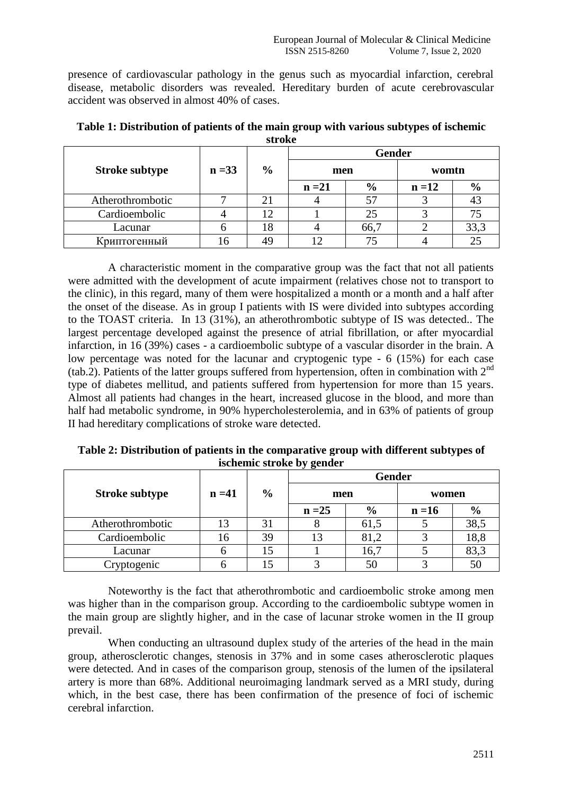presence of cardiovascular pathology in the genus such as myocardial infarction, cerebral disease, metabolic disorders was revealed. Hereditary burden of acute cerebrovascular accident was observed in almost 40% of cases.

|                       |          | ------         |               |               |               |       |  |  |
|-----------------------|----------|----------------|---------------|---------------|---------------|-------|--|--|
|                       |          |                |               | <b>Gender</b> |               |       |  |  |
| <b>Stroke subtype</b> | $n = 33$ | $\frac{0}{0}$  | men           |               |               | womtn |  |  |
|                       |          | $n = 21$       | $\frac{6}{9}$ | $n = 12$      | $\frac{6}{6}$ |       |  |  |
| Atherothrombotic      |          | 2 <sub>1</sub> |               | 57            |               |       |  |  |
| Cardioembolic         |          |                |               | 25            |               |       |  |  |
| Lacunar               |          | .8             |               | 66,7          |               | 33,3  |  |  |
| Криптогенный          |          |                |               |               |               |       |  |  |

**Table 1: Distribution of patients of the main group with various subtypes of ischemic stroke**

A characteristic moment in the comparative group was the fact that not all patients were admitted with the development of acute impairment (relatives chose not to transport to the clinic), in this regard, many of them were hospitalized a month or a month and a half after the onset of the disease. As in group I patients with IS were divided into subtypes according to the TOAST criteria. In 13 (31%), an atherothrombotic subtype of IS was detected.. The largest percentage developed against the presence of atrial fibrillation, or after myocardial infarction, in 16 (39%) cases - a cardioembolic subtype of a vascular disorder in the brain. A low percentage was noted for the lacunar and cryptogenic type - 6 (15%) for each case (tab.2). Patients of the latter groups suffered from hypertension, often in combination with 2nd type of diabetes mellitud, and patients suffered from hypertension for more than 15 years. Almost all patients had changes in the heart, increased glucose in the blood, and more than half had metabolic syndrome, in 90% hypercholesterolemia, and in 63% of patients of group II had hereditary complications of stroke ware detected.

|                       |          |               | . .<br>Gender |               |          |               |
|-----------------------|----------|---------------|---------------|---------------|----------|---------------|
| <b>Stroke subtype</b> | $n = 41$ | $\frac{6}{6}$ | men           |               | women    |               |
|                       |          |               | $n = 25$      | $\frac{6}{6}$ | $n = 16$ | $\frac{6}{6}$ |
| Atherothrombotic      |          | 31            |               | 61,5          |          | 38,5          |
| Cardioembolic         |          | 39            |               | 81,2          |          | 18,8          |
| Lacunar               |          | 15            |               | 16,7          |          | 83,3          |
| Cryptogenic           |          |               |               | 50            |          | 50            |

**Table 2: Distribution of patients in the comparative group with different subtypes of ischemic stroke by gender**

Noteworthy is the fact that atherothrombotic and cardioembolic stroke among men was higher than in the comparison group. According to the cardioembolic subtype women in the main group are slightly higher, and in the case of lacunar stroke women in the II group prevail.

When conducting an ultrasound duplex study of the arteries of the head in the main group, atherosclerotic changes, stenosis in 37% and in some cases atherosclerotic plaques were detected. And in cases of the comparison group, stenosis of the lumen of the ipsilateral artery is more than 68%. Additional neuroimaging landmark served as a MRI study, during which, in the best case, there has been confirmation of the presence of foci of ischemic cerebral infarction.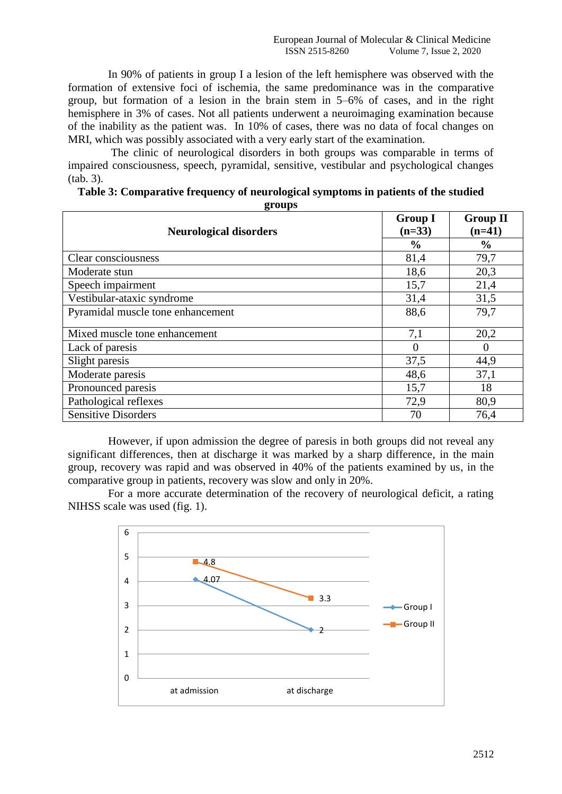In 90% of patients in group I a lesion of the left hemisphere was observed with the formation of extensive foci of ischemia, the same predominance was in the comparative group, but formation of a lesion in the brain stem in 5–6% of cases, and in the right hemisphere in 3% of cases. Not all patients underwent a neuroimaging examination because of the inability as the patient was. In 10% of cases, there was no data of focal changes on MRI, which was possibly associated with a very early start of the examination.

The clinic of neurological disorders in both groups was comparable in terms of impaired consciousness, speech, pyramidal, sensitive, vestibular and psychological changes (tab. 3).

| 8- - - r -<br><b>Neurological disorders</b> | <b>Group I</b><br>$(n=33)$ | <b>Group II</b><br>$(n=41)$ |  |
|---------------------------------------------|----------------------------|-----------------------------|--|
|                                             | $\frac{0}{0}$              | $\frac{6}{6}$               |  |
| Clear consciousness                         | 81,4                       | 79,7                        |  |
| Moderate stun                               | 18,6                       | 20,3                        |  |
| Speech impairment                           | 15,7                       | 21,4                        |  |
| Vestibular-ataxic syndrome                  | 31,4                       | 31,5                        |  |
| Pyramidal muscle tone enhancement           | 88,6                       | 79,7                        |  |
| Mixed muscle tone enhancement               | 7,1                        | 20,2                        |  |
| Lack of paresis                             | $\Omega$                   |                             |  |
| Slight paresis                              | 37,5                       | 44,9                        |  |
| Moderate paresis                            | 48,6                       | 37,1                        |  |
| Pronounced paresis                          | 15,7                       | 18                          |  |
| Pathological reflexes                       | 72,9                       | 80,9                        |  |
| <b>Sensitive Disorders</b>                  | 70                         | 76,4                        |  |

| Table 3: Comparative frequency of neurological symptoms in patients of the studied |
|------------------------------------------------------------------------------------|
| OPAIINS                                                                            |

However, if upon admission the degree of paresis in both groups did not reveal any significant differences, then at discharge it was marked by a sharp difference, in the main group, recovery was rapid and was observed in 40% of the patients examined by us, in the comparative group in patients, recovery was slow and only in 20%.

For a more accurate determination of the recovery of neurological deficit, a rating NIHSS scale was used (fig. 1).

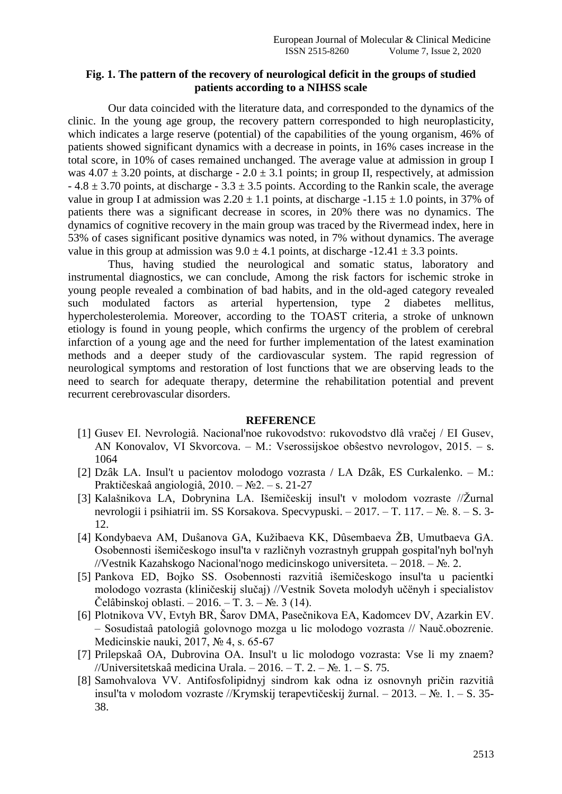## **Fig. 1. The pattern of the recovery of neurological deficit in the groups of studied patients according to a NIHSS scale**

Our data coincided with the literature data, and corresponded to the dynamics of the clinic. In the young age group, the recovery pattern corresponded to high neuroplasticity, which indicates a large reserve (potential) of the capabilities of the young organism, 46% of patients showed significant dynamics with a decrease in points, in 16% cases increase in the total score, in 10% of cases remained unchanged. The average value at admission in group I was  $4.07 \pm 3.20$  points, at discharge -  $2.0 \pm 3.1$  points; in group II, respectively, at admission  $-4.8 \pm 3.70$  points, at discharge  $-3.3 \pm 3.5$  points. According to the Rankin scale, the average value in group I at admission was  $2.20 \pm 1.1$  points, at discharge  $-1.15 \pm 1.0$  points, in 37% of patients there was a significant decrease in scores, in 20% there was no dynamics. The dynamics of cognitive recovery in the main group was traced by the Rivermead index, here in 53% of cases significant positive dynamics was noted, in 7% without dynamics. The average value in this group at admission was  $9.0 \pm 4.1$  points, at discharge  $-12.41 \pm 3.3$  points.

Thus, having studied the neurological and somatic status, laboratory and instrumental diagnostics, we can conclude, Among the risk factors for ischemic stroke in young people revealed a combination of bad habits, and in the old-aged category revealed such modulated factors as arterial hypertension, type 2 diabetes mellitus, hypercholesterolemia. Moreover, according to the TOAST criteria, a stroke of unknown etiology is found in young people, which confirms the urgency of the problem of cerebral infarction of a young age and the need for further implementation of the latest examination methods and a deeper study of the cardiovascular system. The rapid regression of neurological symptoms and restoration of lost functions that we are observing leads to the need to search for adequate therapy, determine the rehabilitation potential and prevent recurrent cerebrovascular disorders.

## **REFERENCE**

- [1] Gusev EI. Nevrologiâ. Nacional'noe rukovodstvo: rukovodstvo dlâ vračej / EI Gusev, АN Konovalov, VI Skvorcova. – M.: Vserossijskoe obŝestvo nevrologov, 2015. – s. 1064
- [2] Dzâk LА. Insul't u pacientov molodogo vozrasta / LА Dzâk, ES Curkalenko. M.: Praktičeskaâ angiologiâ,  $2010. - N<sub>2</sub>2. - s. 21-27$
- [3] Kalašnikova LA, Dobrynina LA. Išemičeskij insul't v molodom vozraste //Žurnal nevrologii i psihiatrii im. SS Korsakova. Specvypuski. – 2017. – T. 117. – №. 8. – S. 3- 12.
- [4] Kondybaeva AM, Duŝanova GA, Kužibaeva KK, Dûsembaeva ŽB, Umutbaeva GA. Osobennosti išemičeskogo insul'ta v različnyh vozrastnyh gruppah gospital'nyh bol'nyh //Vestnik Kazahskogo Nacional'nogo medicinskogo universiteta. – 2018. – №. 2.
- [5] Pankova ED, Bojko SS. Osobennosti razvitiâ išemičeskogo insul'ta u pacientki molodogo vozrasta (kliničeskij slučaj) //Vestnik Soveta molodyh učёnyh i specialistov Čelâbinskoj oblasti. – 2016. – T. 3. – №. 3 (14).
- [6] Plotnikova VV, Evtyh BR, Šarov DMА, Pasečnikova EА, Kadomcev DV, Аzarkin EV. – Sosudistaâ patologiâ golovnogo mozga u lic molodogo vozrasta // Nauč.obozrenie. Medicinskie nauki, 2017, № 4, s. 65-67
- [7] Prilepskaâ OА, Dubrovina OА. Insul't u lic molodogo vozrasta: Vse li my znaem? //Universitetskaâ medicina Urala. – 2016. – T. 2. – №. 1. – S. 75.
- [8] Samohvalova VV. Аntifosfolipidnyj sindrom kak odna iz osnovnyh pričin razvitiâ insul'ta v molodom vozraste //Krymskij terapevtičeskij žurnal. – 2013. –  $\mathbb{N}_2$ . 1. – S. 35-38.